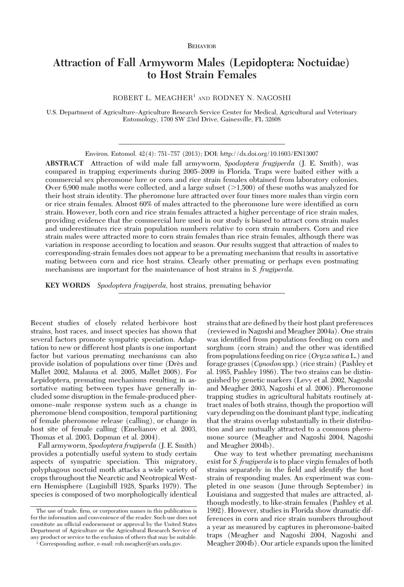## BEHAVIOR

# **Attraction of Fall Armyworm Males (Lepidoptera: Noctuidae) to Host Strain Females**

ROBERT L. MEAGHER<sup>1</sup> AND RODNEY N. NAGOSHI

U.S. Department of Agriculture–Agriculture Research Service Center for Medical, Agricultural and Veterinary Entomology, 1700 SW 23rd Drive, Gainesville, FL 32608

Environ. Entomol. 42(4): 751–757 (2013); DOI: http://dx.doi.org/10.1603/EN13007

**ABSTRACT** Attraction of wild male fall armyworm, *Spodoptera frugiperda* (J. E. Smith), was compared in trapping experiments during 2005–2009 in Florida. Traps were baited either with a commercial sex pheromone lure or corn and rice strain females obtained from laboratory colonies. Over 6,900 male moths were collected, and a large subset  $(>1,500)$  of these moths was analyzed for their host strain identity. The pheromone lure attracted over four times more males than virgin corn or rice strain females. Almost 60% of males attracted to the pheromone lure were identified as corn strain. However, both corn and rice strain females attracted a higher percentage of rice strain males, providing evidence that the commercial lure used in our study is biased to attract corn strain males and underestimates rice strain population numbers relative to corn strain numbers. Corn and rice strain males were attracted more to corn strain females than rice strain females, although there was variation in response according to location and season. Our results suggest that attraction of males to corresponding-strain females does not appear to be a premating mechanism that results in assortative mating between corn and rice host strains. Clearly other premating or perhaps even postmating mechanisms are important for the maintenance of host strains in *S. frugiperda*.

**KEY WORDS** *Spodoptera frugiperda*, host strains, premating behavior

Recent studies of closely related herbivore host strains, host races, and insect species has shown that several factors promote sympatric speciation. Adaptation to new or different host plants is one important factor but various premating mechanisms can also provide isolation of populations over time (Drès and Mallet 2002, Malausa et al. 2005, Mallet 2008). For Lepidoptera, premating mechanisms resulting in assortative mating between types have generally included some disruption in the female-produced pheromone–male response system such as a change in pheromone blend composition, temporal partitioning of female pheromone release (calling), or change in host site of female calling (Emelianov et al. 2003, Thomas et al. 2003, Dopman et al. 2004).

Fall armyworm, *Spodoptera frugiperda* (J. E. Smith) provides a potentially useful system to study certain aspects of sympatric speciation. This migratory, polyphagous noctuid moth attacks a wide variety of crops throughout the Nearctic and Neotropical Western Hemisphere (Luginbill 1928, Sparks 1979). The species is composed of two morphologically identical strains that are defined by their host plant preferences (reviewed in Nagoshi and Meagher 2004a). One strain was identified from populations feeding on corn and sorghum (corn strain) and the other was identified from populations feeding on rice (*Oryza sativa*L.) and forage grasses (*Cynodon* spp.) (rice strain) (Pashley et al. 1985, Pashley 1986). The two strains can be distinguished by genetic markers (Levy et al. 2002, Nagoshi and Meagher 2003, Nagoshi et al. 2006). Pheromone trapping studies in agricultural habitats routinely attract males of both strains, though the proportion will vary depending on the dominant plant type, indicating that the strains overlap substantially in their distribution and are mutually attracted to a common pheromone source (Meagher and Nagoshi 2004, Nagoshi and Meagher 2004b).

One way to test whether premating mechanisms exist for *S. frugiperda* is to place virgin females of both strains separately in the field and identify the host strain of responding males. An experiment was completed in one season (June through September) in Louisiana and suggested that males are attracted, although modestly, to like-strain females (Pashley et al. 1992). However, studies in Florida show dramatic differences in corn and rice strain numbers throughout a year as measured by captures in pheromone-baited traps (Meagher and Nagoshi 2004, Nagoshi and Meagher 2004b). Our article expands upon the limited

The use of trade, firm, or corporation names in this publication is for the information and convenience of the reader. Such use does not constitute an official endorsement or approval by the United States Department of Agriculture or the Agricultural Research Service of any product or service to the exclusion of others that may be suitable.

<sup>&</sup>lt;sup>1</sup> Corresponding author, e-mail: rob.meagher@ars.usda.gov.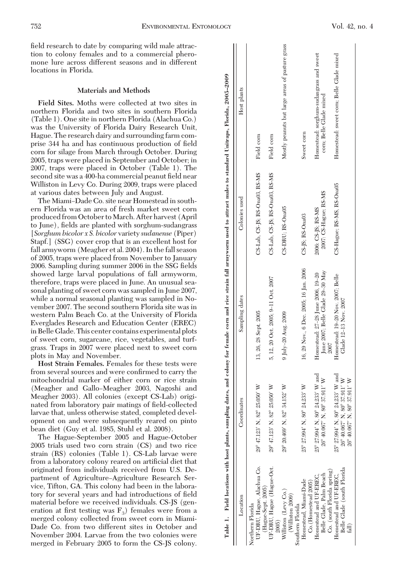field research to date by comparing wild male attraction to colony females and to a commercial pheromone lure across different seasons and in different locations in Florida.

## **Materials and Methods**

**Field Sites.** Moths were collected at two sites in northern Florida and two sites in southern Florida (Table 1). One site in northern Florida (Alachua Co.) was the University of Florida Dairy Research Unit, Hague. The research dairy and surrounding farm comprise 344 ha and has continuous production of field corn for silage from March through October. During 2005, traps were placed in September and October; in 2007, traps were placed in October (Table 1). The second site was a 400-ha commercial peanut field near Williston in Levy Co. During 2009, traps were placed at various dates between July and August.

The Miami–Dade Co. site near Homestead in southern Florida was an area of fresh market sweet corn produced from October to March. After harvest (April to June), fields are planted with sorghum-sudangrass [*Sorghum bicolor x S. bicolor* variety *sudanense* (Piper) Stapf.] (SSG) cover crop that is an excellent host for fall armyworm (Meagher et al. 2004). In the fall season of 2005, traps were placed from November to January 2006. Sampling during summer 2006 in the SSG fields showed large larval populations of fall armyworm, therefore, traps were placed in June. An unusual seasonal planting of sweet corn was sampled in June 2007, while a normal seasonal planting was sampled in November 2007. The second southern Florida site was in western Palm Beach Co. at the University of Florida Everglades Research and Education Center (EREC) in Belle Glade. This center contains experimental plots of sweet corn, sugarcane, rice, vegetables, and turfgrass. Traps in 2007 were placed next to sweet corn plots in May and November.

**Host Strain Females.** Females for these tests were from several sources and were confirmed to carry the mitochondrial marker of either corn or rice strain (Meagher and Gallo–Meagher 2003, Nagoshi and Meagher 2003). All colonies (except CS-Lab) originated from laboratory pair matings of field-collected larvae that, unless otherwise stated, completed development on and were subsequently reared on pinto bean diet (Guy et al. 1985, Stuhl et al. 2008).

The Hague-September 2005 and Hague-October 2005 trials used two corn strain (CS) and two rice strain (RS) colonies (Table 1). CS-Lab larvae were from a laboratory colony reared on artificial diet that originated from individuals received from U.S. Department of Agriculture-Agriculture Research Service, Tifton, GA. This colony had been in the laboratory for several years and had introductions of field material before we received individuals. CS-JS (generation at first testing was  $F_3$ ) females were from a merged colony collected from sweet corn in Miami-Dade Co. from two different sites in October and November 2004. Larvae from the two colonies were merged in February 2005 to form the CS-JS colony.

| Location                   | Coordinates                      | Sampling dates                         | Colonies used                  | Host plants                                     |
|----------------------------|----------------------------------|----------------------------------------|--------------------------------|-------------------------------------------------|
| Northern Florida           |                                  |                                        |                                |                                                 |
| UF-DRU, Hague, Alachua Co. | 29° 47.123' N, 82° 25.050' W     | 13, 26, 28 Sept. 2005                  | CS-Lab, CS-JS; RS-Ona03, RS-MS | Field corn                                      |
| (Hague-Sept. 2005)         |                                  |                                        |                                |                                                 |
| UF-DRU, Hague (Hague-Oct.  | 29° 47.123' N, 82° 25.050' W     | 5, 12, 20 Oct. 2005; 9-11 Oct. 2007    | CS-Lab, CS-JS; RS-Ona03, RS-MS | Field corn                                      |
| 2005)                      |                                  |                                        |                                |                                                 |
| Williston (Levy Co.)       | 29° 20.469' N, 82° 34.152' W     | $9 \mathrm{Jy}$ -20 Aug. 2009          | CS-DRU: RS-Ona05               | Mostly peanuts but large areas of pasture grass |
| (Williston 2009)           |                                  |                                        |                                |                                                 |
| Southern Florida           |                                  |                                        |                                |                                                 |
| Homestead, Miami-Dade      | 25° 27.994' N, 80° 24.233' W     | 16, 29 Nov., 6 Dec. 2005; 16 Jan. 2006 | CS-JS: RS-Ona03                | Sweet corn                                      |
| Co. (Homestead 2005)       |                                  |                                        |                                |                                                 |
| Homestead and UF-EREC      | 25° 27.994' N, 80° 24.233' W and | Homestead: 27-28 June 2006, 19-20      | 2006: CS-JS; RS-MS             | Homestead: sorghum-sudangrass and sweet         |
| Belle Glade, Palm Beach    | 26° 40.067' N, 80° 37.911' W     | June 2007; Belle Clade 29-30 May       | 2007: CS-Hague; RS-MS          | com; Belle Glade mixed                          |
| Co. (south Florida spring) |                                  | 2007                                   |                                |                                                 |
| Homestead and UF-EREC,     | 25° 27.994' N, 80° 24.233' W and | Homestead: 19-20 Nov. 2007: Belle      | CS-Hague; RS-MS, RS-Ona05      | Homestead: sweet corn: Belle Glade mixed        |
| Belle Glade (south Florida | 26° 40.067' N, 80° 37.911' W     | Glade 12-13 Nov. 2007                  |                                |                                                 |
| fall)                      | 26° 40.067' N, 80° 37.911' W     |                                        |                                |                                                 |
|                            |                                  |                                        |                                |                                                 |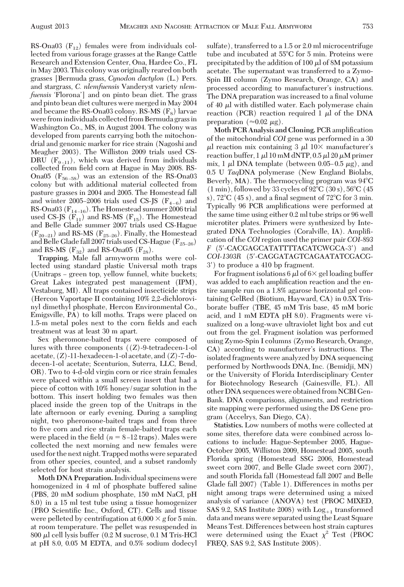RS-Ona03  $(F_{12})$  females were from individuals collected from various forage grasses at the Range Cattle Research and Extension Center, Ona, Hardee Co., FL in May 2003. This colony was originally reared on both grasses [Bermuda grass, *Cynodon dactylon* (L.) Pers. and stargrass, *C. nlemfuensis* Vanderyst variety *nlemfuensis* 'Florona' and on pinto bean diet. The grass and pinto bean diet cultures were merged in May 2004 and became the RS-Ona03 colony. RS-MS  $(F_8)$  larvae were fromindividuals collected from Bermuda grassin Washington Co., MS, in August 2004. The colony was developed from parents carrying both the mitochondrial and genomic marker for rice strain (Nagoshi and Meagher 2003). The Williston 2009 trials used CS-DRU ( $F_{9-11}$ ), which was derived from individuals collected from field corn at Hague in May 2008. RS-Ona05 ( $F_{56-58}$ ) was an extension of the RS-Ona03 colony but with additional material collected from pasture grasses in 2004 and 2005. The Homestead fall and winter 2005–2006 trials used CS-JS  $(F_{4-6})$  and RS-Ona03 ( $\mathrm{F_{14-16}}$ ). The Homestead summer 2006 trial used CS-JS  $(F_{11})$  and RS-MS  $(F_{15})$ . The Homestead and Belle Glade summer 2007 trials used CS-Hague  $(F_{20-21})$  and RS-MS  $(F_{25-26})$ . Finally, the Homestead and Belle Glade fall 2007 trials used CS-Hague ( $F_{25-26}$ ) and RS-MS  $(F_{32})$  and RS-Ona05  $(F_{28})$ .

**Trapping.** Male fall armyworm moths were collected using standard plastic Universal moth traps (Unitraps – green top, yellow funnel, white buckets; Great Lakes integrated pest management (IPM), Vestaburg, MI). All traps contained insecticide strips (Hercon Vaportape II containing 10% 2,2-dichlorovinyl dimethyl phosphate, Hercon Environmental Co., Emigsville, PA) to kill moths. Traps were placed on 1.5-m metal poles next to the corn fields and each treatment was at least 30 m apart.

Sex pheromone-baited traps were composed of lures with three components ((*Z*)-9-tetradecen-1-ol acetate, (*Z*)-11-hexadecen-1-ol acetate, and (*Z*)-7-dodecen-1-ol acetate; Scenturion, Suterra, LLC, Bend, OR). Two to 4-d-old virgin corn or rice strain females were placed within a small screen insert that had a piece of cotton with 10% honey/sugar solution in the bottom. This insert holding two females was then placed inside the green top of the Unitraps in the late afternoon or early evening. During a sampling night, two pheromone-baited traps and from three to five corn and rice strain female-baited traps each were placed in the field  $(n = 8-12 \text{ traps})$ . Males were collected the next morning and new females were used for the next night. Trapped moths were separated from other species, counted, and a subset randomly selected for host strain analysis.

**Moth DNA Preparation.**Individual specimens were homogenized in 4 ml of phosphate buffered saline (PBS, 20 mM sodium phosphate, 150 mM NaCl, pH 8.0) in a 15 ml test tube using a tissue homogenizer (PRO Scientific Inc., Oxford, CT). Cells and tissue were pelleted by centrifugation at  $6,000 \times g$  for 5 min. at room temperature. The pellet was resuspended in 800  $\mu$ l cell lysis buffer (0.2 M sucrose, 0.1 M Tris-HCl at pH 8.0, 0.05 M EDTA, and 0.5% sodium dodecyl

sulfate), transferred to a 1.5 or 2.0 ml microcentrifuge tube and incubated at 55°C for 5 min. Proteins were precipitated by the addition of  $100 \mu$  of 8M potassium acetate. The supernatant was transferred to a Zymo-Spin III column (Zymo Research, Orange, CA) and processed according to manufacturer's instructions. The DNA preparation was increased to a final volume of 40  $\mu$ l with distilled water. Each polymerase chain reaction (PCR) reaction required  $1 \mu l$  of the DNA preparation ( $\approx 0.02 \mu$ g).

**Moth PCR Analysis and Cloning. PCR amplification** of the mitochondrial *COI* gene was performed in a 30  $\mu$ l reaction mix containing 3  $\mu$ l 10 $\times$  manufacturer's reaction buffer,  $1 \mu$ l 10 mM dNTP, 0.5  $\mu$ l 20  $\mu$ M primer mix, 1  $\mu$ l DNA template (between 0.05–0.5  $\mu$ g), and 0.5 U *Taq*DNA polymerase (New England Biolabs, Beverly, MA). The thermocycling program was  $94^{\circ}$ C  $(1 \text{ min})$ , followed by 33 cycles of 92 $\degree$ C  $(30 \text{ s})$ , 56 $\degree$ C  $(45 \text{ s})$ s),  $72^{\circ}$ C (45 s), and a final segment of  $72^{\circ}$ C for 3 min. Typically 96 PCR amplifications were performed at the same time using either 0.2 ml tube strips or 96 well microtiter plates. Primers were synthesized by Integrated DNA Technologies (Coralville, IA). AmpliÞcation of the *COI* region used the primer pair *COI-893 F* (5-CACGAGCATATTTTACATCWGCA-3) and *COI-1303R* (5-CAGGATAGTCAGAATATCGACG-3) to produce a 410 bp fragment.

For fragment isolations 6  $\mu$  of 6  $\times$  gel loading buffer was added to each amplification reaction and the entire sample run on a 1.8% agarose horizontal gel containing GelRed (Biotium, Hayward, CA) in 0.5X Trisborate buffer (TBE, 45 mM Tris base, 45 mM boric acid, and 1 mM EDTA pH 8.0). Fragments were visualized on a long-wave ultraviolet light box and cut out from the gel. Fragment isolation was performed using Zymo-Spin I columns (Zymo Research, Orange, CA) according to manufacturer's instructions. The isolated fragments were analyzed by DNA sequencing performed by Northwoods DNA, Inc. (Bemidji, MN) or the University of Florida Interdisciplinary Center for Biotechnology Research (Gainesville, FL). All other DNA sequences were obtained from NCBI Gen-Bank. DNA comparisons, alignments, and restriction site mapping were performed using the DS Gene program (Accelrys, San Diego, CA).

**Statistics.** Low numbers of moths were collected at some sites, therefore data were combined across locations to include: Hague-September 2005, Hague-October 2005, Williston 2009, Homestead 2005, south Florida spring (Homestead SSG 2006, Homestead sweet corn 2007, and Belle Glade sweet corn 2007), and south Florida fall (Homestead fall 2007 and Belle Glade fall 2007) (Table 1). Differences in moths per night among traps were determined using a mixed analysis of variance (ANOVA) test (PROC MIXED, SAS 9.2, SAS Institute 2008) with  $Log_{+1}$  transformed data and means were separated using the Least Square Means Test. Differences between host strain captures were determined using the Exact  $\chi^2$  Test (PROC FREQ, SAS 9.2, SAS Institute 2008).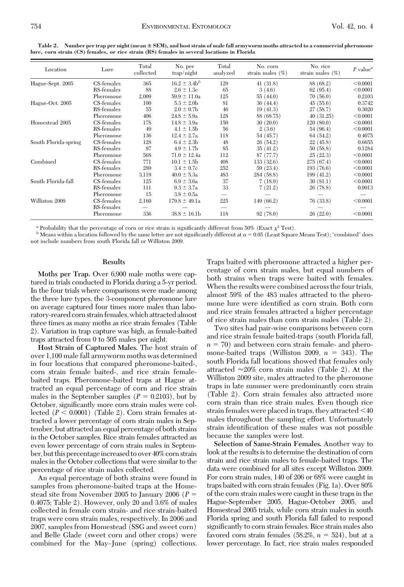| Location             | Lure       | Total<br>collected | No. per<br>trap/night | Total<br>analyzed | No. corn<br>strain males $(\%)$ | No. rice<br>strain males $(\%)$ | $P$ value <sup><math>a</math></sup> |
|----------------------|------------|--------------------|-----------------------|-------------------|---------------------------------|---------------------------------|-------------------------------------|
| Hague-Sept. 2005     | CS-females | 365                | $16.2 \pm 3.4$        | 129               | 41(31.8)                        | 88 (68.2)                       | < 0.0001                            |
|                      | RS-females | 88                 | $2.6 \pm 1.3c$        | 65                | 3(4.6)                          | 62(95.4)                        | < 0.0001                            |
|                      | Pheromone  | 2,009              | $59.9 \pm 11.0a$      | 125               | 55(44.0)                        | 70(56.0)                        | 0.2103                              |
| Hague-Oct. 2005      | CS-females | 100                | $5.3 \pm 2.0$         | 81                | 36(44.4)                        | 45(55.6)                        | 0.3742                              |
|                      | RS-females | 55                 | $2.0 \pm 0.7$ b       | 46                | 19(41.3)                        | 27(58.7)                        | 0.3020                              |
|                      | Pheromone  | 406                | $24.8 \pm 5.9a$       | 128               | 88 (68.75)                      | 40(31.25)                       | < 0.0001                            |
| Homestead 2005       | CS-females | 178                | $14.8 \pm 3.9a$       | 150               | 30(20.0)                        | 120(80.0)                       | < 0.0001                            |
|                      | RS-females | 49                 | $4.1 \pm 1.5$ b       | 56                | 2(3.6)                          | 54 (96.4)                       | < 0.0001                            |
|                      | Pheromone  | 136                | $12.4 \pm 2.7a$       | 118               | 54 (45.7)                       | 64 (54.2)                       | 0.4075                              |
| South Florida-spring | CS-females | 128                | $6.4 \pm 2.3$         | 48                | 26(54.2)                        | 22(45.8)                        | 0.6655                              |
|                      | RS-females | 97                 | $4.9 \pm 1.7$ b       | 85                | 35(41.2)                        | 50(58.8)                        | 0.1284                              |
|                      | Pheromone  | 568                | $71.0 \pm 12.4a$      | 112               | 87 (77.7)                       | 25(22.3)                        | < 0.0001                            |
| Combined             | CS-females | 771                | $10.1 \pm 1.5b$       | 408               | 133(32.6)                       | 275 (67.4)                      | < 0.0001                            |
|                      | RS-females | 289                | $3.4 \pm 0.7c$        | 252               | 59 (23.4)                       | 193 (76.6)                      | < 0.0001                            |
|                      | Pheromone  | 3,119              | $40.0 \pm 5.3a$       | 483               | 284 (58.8)                      | 199(41.2)                       | < 0.0001                            |
| South Florida-fall   | CS-females | 125                | $6.9 \pm 3.6a$        | 37                | 7(18.9)                         | 30(81.1)                        | < 0.0001                            |
|                      | RS-females | 111                | $9.3 \pm 3.7a$        | 33                | 7(21.2)                         | 26 (78.8)                       | 0.0013                              |
|                      | Pheromone  | 15                 | $3.8 \pm 0.5a$        |                   |                                 |                                 |                                     |
| Williston 2009       | CS-females | 2,160              | $179.8 \pm 49.1a$     | 225               | 149 (66.2)                      | 76 (33.8)                       | < 0.0001                            |
|                      | RS-females |                    |                       |                   |                                 |                                 |                                     |
|                      | Pheromone  | 336                | $38.8 \pm 16.1b$      | 118               | 92(78.0)                        | 26(22.0)                        | < 0.0001                            |

**Table 2. Number per trap per night (mean SEM), and host strain of male fall armyworm moths attracted to a commercial pheromone lure, corn strain (CS) females, or rice strain (RS) females in several locations in Florida**

*a* Probability that the percentage of corn or rice strain is significantly different from 50% (Exact  $\chi^2$  Test).

 $b$  Means within a location followed by the same letter are not significantly different at  $\alpha = 0.05$  (Least Square Means Test); "combined" does not include numbers from south Florida fall or Williston 2009.

#### **Results**

**Moths per Trap.** Over 6,900 male moths were captured in trials conducted in Florida during a 5-yr period. In the four trials where comparisons were made among the three lure types, the 3-component pheromone lure on average captured four times more males than laboratory-reared corn strain females,which attracted almost three times as many moths as rice strain females (Table 2). Variation in trap capture was high, as female-baited traps attracted from 0 to 505 males per night.

**Host Strain of Captured Males.** The host strain of over 1,100 male fall armyworm moths was determined in four locations that compared pheromone-baited-, corn strain female baited-, and rice strain femalebaited traps. Pheromone-baited traps at Hague attracted an equal percentage of corn and rice strain males in the September samples  $(P = 0.2103)$ , but by October, significantly more corn strain males were collected  $(P < 0.0001)$  (Table 2). Corn strain females attracted a lower percentage of corn strain males in September, but attracted an equal percentage of both strains in the October samples. Rice strain females attracted an even lower percentage of corn strain males in September, but this percentage increased to over 40% corn strain males in the October collections that were similar to the percentage of rice strain males collected.

An equal percentage of both strains were found in samples from pheromone-baited traps at the Homestead site from November 2005 to January 2006 (*P* 0.4075; Table 2). However, only 20 and 3.6% of males collected in female corn strain- and rice strain-baited traps were corn strain males, respectively. In 2006 and 2007, samples from Homestead (SSG and sweet corn) and Belle Glade (sweet corn and other crops) were combined for the May-June (spring) collections. Traps baited with pheromone attracted a higher percentage of corn strain males, but equal numbers of both strains when traps were baited with females. When the results were combined across the four trials, almost 59% of the 483 males attracted to the pheromone lure were identified as corn strain. Both corn and rice strain females attracted a higher percentage of rice strain males than corn strain males (Table 2).

Two sites had pair-wise comparisons between corn and rice strain female baited-traps (south Florida fall,  $n = 70$ ) and between corn strain female- and pheromone-baited traps (Williston 2009,  $n = 343$ ). The south Florida fall locations showed that females only attracted  ${\approx}20\%$  corn strain males (Table 2). At the Williston 2009 site, males attracted to the pheromone traps in late summer were predominantly corn strain (Table 2). Corn strain females also attracted more corn strain than rice strain males. Even though rice strain females were placed in traps, they attracted  $\leq 40$ males throughout the sampling effort. Unfortunately strain identification of these males was not possible because the samples were lost.

**Selection of Same-Strain Females.** Another way to look at the results is to determine the destination of corn strain and rice strain males to female-baited traps. The data were combined for all sites except Williston 2009. For corn strain males, 140 of 206 or 68% were caught in traps baited with corn strain females (Fig. 1a). Over 80% of the corn strain males were caught in these traps in the Hague-September 2005, Hague-October 2005, and Homestead 2005 trials, while corn strain males in south Florida spring and south Florida fall failed to respond significantly to corn strain females. Rice strain males also favored corn strain females  $(58.2\%, n = 524)$ , but at a lower percentage. In fact, rice strain males responded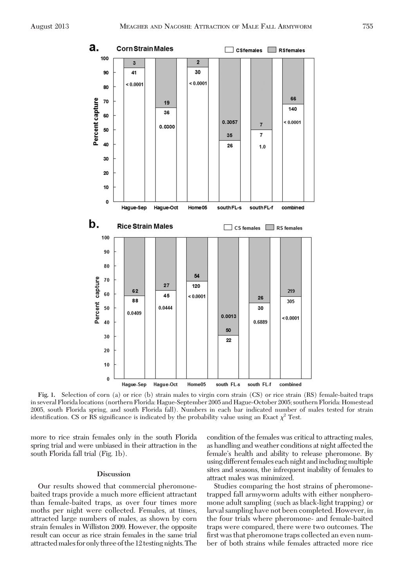

**Fig. 1.** Selection of corn (a) or rice (b) strain males to virgin corn strain (CS) or rice strain (RS) female-baited traps in several Florida locations (northern Florida: Hague-September 2005 and Hague-October 2005; southern Florida: Homestead 2005, south Florida spring, and south Florida fall). Numbers in each bar indicated number of males tested for strain identification. CS or RS significance is indicated by the probability value using an Exact  $\chi^2$  Test.

more to rice strain females only in the south Florida spring trial and were unbiased in their attraction in the south Florida fall trial (Fig. 1b).

## **Discussion**

Our results showed that commercial pheromonebaited traps provide a much more efficient attractant than female-baited traps, as over four times more moths per night were collected. Females, at times, attracted large numbers of males, as shown by corn strain females in Williston 2009. However, the opposite result can occur as rice strain females in the same trial attracted males for only three of the 12 testing nights. The

condition of the females was critical to attracting males, as handling and weather conditions at night affected the female's health and ability to release pheromone. By using different females each night and including multiple sites and seasons, the infrequent inability of females to attract males was minimized.

Studies comparing the host strains of pheromonetrapped fall armyworm adults with either nonpheromone adult sampling (such as black-light trapping) or larval sampling have not been completed. However, in the four trials where pheromone- and female-baited traps were compared, there were two outcomes. The first was that pheromone traps collected an even number of both strains while females attracted more rice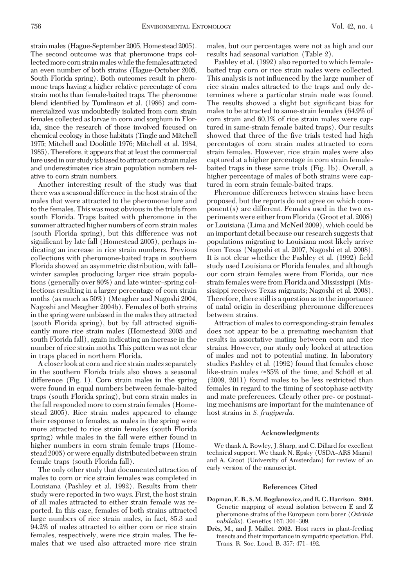strain males (Hague-September 2005, Homestead 2005). The second outcome was that pheromone traps collected more corn strain males while the females attracted an even number of both strains (Hague-October 2005, South Florida spring). Both outcomes result in pheromone traps having a higher relative percentage of corn strain moths than female-baited traps. The pheromone blend identified by Tumlinson et al. (1986) and commercialized was undoubtedly isolated from corn strain females collected as larvae in corn and sorghum in Florida, since the research of those involved focused on chemical ecology in those habitats (Tingle and Mitchell 1975; Mitchell and Doolittle 1976; Mitchell et al. 1984, 1985). Therefore, it appears that at least the commercial lure used in our study is biased to attract corn strain males and underestimates rice strain population numbers relative to corn strain numbers.

Another interesting result of the study was that there was a seasonal difference in the host strain of the males that were attracted to the pheromone lure and to the females. This was most obvious in the trials from south Florida. Traps baited with pheromone in the summer attracted higher numbers of corn strain males (south Florida spring), but this difference was not significant by late fall (Homestead 2005), perhaps indicating an increase in rice strain numbers. Previous collections with pheromone-baited traps in southern Florida showed an asymmetric distribution, with fall– winter samples producing larger rice strain populations (generally over 80%) and late winter-spring collections resulting in a larger percentage of corn strain moths (as much as 50%) (Meagher and Nagoshi 2004, Nagoshi and Meagher 2004b). Females of both strains in the spring were unbiased in the males they attracted (south Florida spring), but by fall attracted signiÞcantly more rice strain males (Homestead 2005 and south Florida fall), again indicating an increase in the number of rice strain moths. This pattern was not clear in traps placed in northern Florida.

A closer look at corn and rice strain males separately in the southern Florida trials also shows a seasonal difference (Fig. 1). Corn strain males in the spring were found in equal numbers between female-baited traps (south Florida spring), but corn strain males in the fall responded more to corn strain females (Homestead 2005). Rice strain males appeared to change their response to females, as males in the spring were more attracted to rice strain females (south Florida spring) while males in the fall were either found in higher numbers in corn strain female traps (Homestead 2005) or were equally distributed between strain female traps (south Florida fall).

The only other study that documented attraction of males to corn or rice strain females was completed in Louisiana (Pashley et al. 1992). Results from their study were reported in two ways. First, the host strain of all males attracted to either strain female was reported. In this case, females of both strains attracted large numbers of rice strain males, in fact, 85.3 and 94.2% of males attracted to either corn or rice strain females, respectively, were rice strain males. The females that we used also attracted more rice strain

males, but our percentages were not as high and our results had seasonal variation (Table 2).

Pashley et al. (1992) also reported to which femalebaited trap corn or rice strain males were collected. This analysis is not inßuenced by the large number of rice strain males attracted to the traps and only determines where a particular strain male was found. The results showed a slight but significant bias for males to be attracted to same-strain females (64.9% of corn strain and 60.1% of rice strain males were captured in same-strain female baited traps). Our results showed that three of the five trials tested had high percentages of corn strain males attracted to corn strain females. However, rice strain males were also captured at a higher percentage in corn strain femalebaited traps in these same trials (Fig. 1b). Overall, a higher percentage of males of both strains were captured in corn strain female-baited traps.

Pheromone differences between strains have been proposed, but the reports do not agree on which component(s) are different. Females used in the two experiments were either from Florida (Groot et al. 2008) or Louisiana (Lima and McNeil 2009), which could be an important detail because our research suggests that populations migrating to Louisiana most likely arrive from Texas (Nagoshi et al. 2007, Nagoshi et al. 2008). It is not clear whether the Pashley et al. (1992) field study used Louisiana or Florida females, and although our corn strain females were from Florida, our rice strain females were from Florida and Mississippi (Mississippi receives Texas migrants; Nagoshi et al. 2008). Therefore, there still is a question as to the importance of natal origin in describing pheromone differences between strains.

Attraction of males to corresponding-strain females does not appear to be a premating mechanism that results in assortative mating between corn and rice strains. However, our study only looked at attraction of males and not to potential mating. In laboratory studies Pashley et al. (1992) found that females chose like-strain males  $\approx 85\%$  of the time, and Schöfl et al. (2009, 2011) found males to be less restricted than females in regard to the timing of scotophase activity and mate preferences. Clearly other pre- or postmating mechanisms are important for the maintenance of host strains in *S. frugiperda.*

### **Acknowledgments**

We thank A. Rowley, J. Sharp, and C. Dillard for excellent technical support. We thank N. Epsky (USDA-ARS Miami) and A. Groot (University of Amsterdam) for review of an early version of the manuscript.

#### **References Cited**

- **Dopman, E. B., S.M. Bogdanowicz, and R. G. Harrison. 2004.** Genetic mapping of sexual isolation between E and Z pheromone strains of the European corn borer (*Ostrinia nubilalis*). Genetics 167: 301-309.
- Drès, M., and J. Mallet. 2002. Host races in plant-feeding insects and their importance in sympatric speciation. Phil. Trans. R. Soc. Lond. B. 357: 471-492.